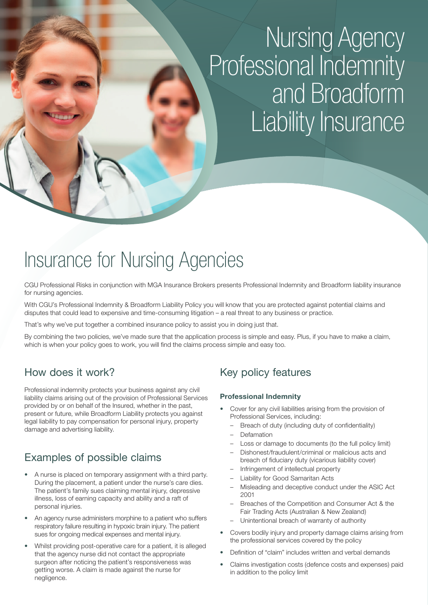# Nursing Agency Professional Indemnity and Broadform Liability Insurance

## Insurance for Nursing Agencies

CGU Professional Risks in conjunction with MGA Insurance Brokers presents Professional Indemnity and Broadform liability insurance for nursing agencies.

With CGU's Professional Indemnity & Broadform Liability Policy you will know that you are protected against potential claims and disputes that could lead to expensive and time-consuming litigation – a real threat to any business or practice.

That's why we've put together a combined insurance policy to assist you in doing just that.

By combining the two policies, we've made sure that the application process is simple and easy. Plus, if you have to make a claim, which is when your policy goes to work, you will find the claims process simple and easy too.

## How does it work?

Professional indemnity protects your business against any civil liability claims arising out of the provision of Professional Services provided by or on behalf of the Insured, whether in the past, present or future, while Broadform Liability protects you against legal liability to pay compensation for personal injury, property damage and advertising liability.

## Examples of possible claims

- A nurse is placed on temporary assignment with a third party. During the placement, a patient under the nurse's care dies. The patient's family sues claiming mental injury, depressive illness, loss of earning capacity and ability and a raft of personal injuries.
- An agency nurse administers morphine to a patient who suffers respiratory failure resulting in hypoxic brain injury. The patient sues for ongoing medical expenses and mental injury.
- Whilst providing post-operative care for a patient, it is alleged that the agency nurse did not contact the appropriate surgeon after noticing the patient's responsiveness was getting worse. A claim is made against the nurse for negligence.

## Key policy features

#### **Professional Indemnity**

- Cover for any civil liabilities arising from the provision of Professional Services, including:
	- Breach of duty (including duty of confidentiality)
	- Defamation
	- Loss or damage to documents (to the full policy limit)
	- Dishonest/fraudulent/criminal or malicious acts and breach of fiduciary duty (vicarious liability cover)
	- Infringement of intellectual property
	- Liability for Good Samaritan Acts
	- Misleading and deceptive conduct under the ASIC Act 2001
	- Breaches of the Competition and Consumer Act & the Fair Trading Acts (Australian & New Zealand)
	- Unintentional breach of warranty of authority
- Covers bodily injury and property damage claims arising from the professional services covered by the policy
- Definition of "claim" includes written and verbal demands
- Claims investigation costs (defence costs and expenses) paid in addition to the policy limit